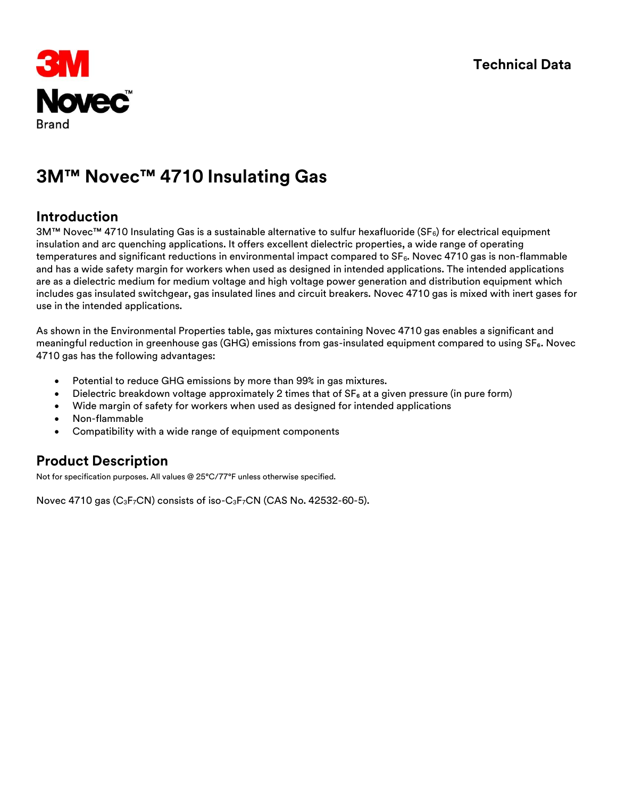

#### **Introduction**

3M™ Novec™ 4710 Insulating Gas is a sustainable alternative to sulfur hexafluoride (SF<sub>6</sub>) for electrical equipment insulation and arc quenching applications. It offers excellent dielectric properties, a wide range of operating temperatures and significant reductions in environmental impact compared to  $SF<sub>6</sub>$ . Novec 4710 gas is non-flammable and has a wide safety margin for workers when used as designed in intended applications. The intended applications are as a dielectric medium for medium voltage and high voltage power generation and distribution equipment which includes gas insulated switchgear, gas insulated lines and circuit breakers. Novec 4710 gas is mixed with inert gases for use in the intended applications.

As shown in the Environmental Properties table, gas mixtures containing Novec 4710 gas enables a significant and meaningful reduction in greenhouse gas (GHG) emissions from gas-insulated equipment compared to using SF<sub>6</sub>. Novec 4710 gas has the following advantages:

- Potential to reduce GHG emissions by more than 99% in gas mixtures.
- Dielectric breakdown voltage approximately 2 times that of  $SF<sub>6</sub>$  at a given pressure (in pure form)
- Wide margin of safety for workers when used as designed for intended applications
- Non-flammable
- Compatibility with a wide range of equipment components

### **Product Description**

Not for specification purposes. All values @ 25°C/77°F unless otherwise specified.

Novec 4710 gas  $(C_3F_7CN)$  consists of iso- $C_3F_7CN$  (CAS No. 42532-60-5).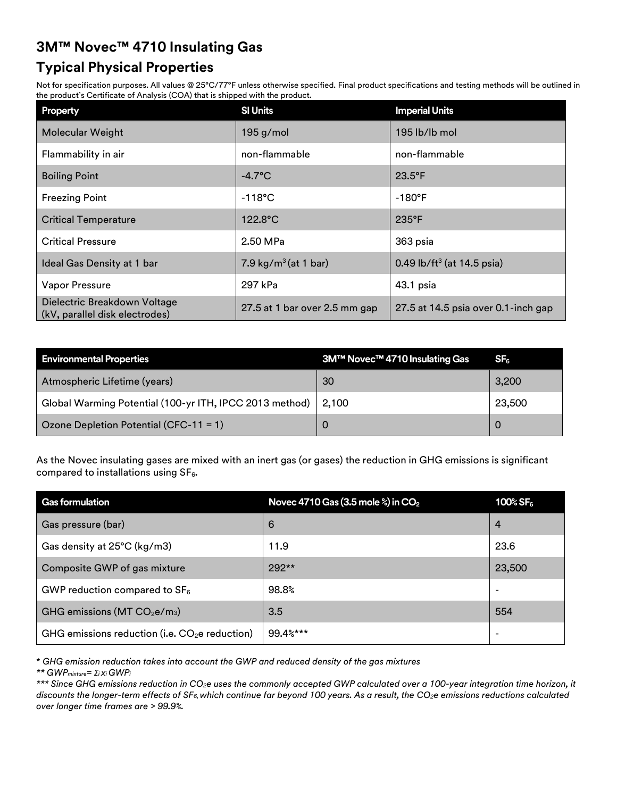# **Typical Physical Properties**

Not for specification purposes. All values @ 25°C/77°F unless otherwise specified. Final product specifications and testing methods will be outlined in the product's Certificate of Analysis (COA) that is shipped with the product.

| <b>Property</b>                                                | <b>SI Units</b>               | <b>Imperial Units</b>                  |
|----------------------------------------------------------------|-------------------------------|----------------------------------------|
| Molecular Weight                                               | 195 g/mol                     | 195 lb/lb mol                          |
| Flammability in air                                            | non-flammable                 | non-flammable                          |
| <b>Boiling Point</b>                                           | $-4.7^{\circ}$ C              | $23.5^{\circ}F$                        |
| <b>Freezing Point</b>                                          | $-118^{\circ}$ C              | $-180^{\circ}$ F                       |
| <b>Critical Temperature</b>                                    | $122.8^{\circ}$ C             | 235°F                                  |
| <b>Critical Pressure</b>                                       | 2.50 MPa                      | 363 psia                               |
| Ideal Gas Density at 1 bar                                     | 7.9 $kg/m3$ (at 1 bar)        | 0.49 lb/ft <sup>3</sup> (at 14.5 psia) |
| Vapor Pressure                                                 | 297 kPa                       | 43.1 psia                              |
| Dielectric Breakdown Voltage<br>(kV, parallel disk electrodes) | 27.5 at 1 bar over 2.5 mm gap | 27.5 at 14.5 psia over 0.1-inch gap    |

| <b>Environmental Properties</b>                                 | 3M™ Novec™ 4710 Insulating Gas | SF <sub>6</sub> |
|-----------------------------------------------------------------|--------------------------------|-----------------|
| Atmospheric Lifetime (years)                                    | 30                             | 3,200           |
| Global Warming Potential (100-yr ITH, IPCC 2013 method)   2,100 |                                | 23,500          |
| Ozone Depletion Potential (CFC-11 = 1)                          |                                |                 |

As the Novec insulating gases are mixed with an inert gas (or gases) the reduction in GHG emissions is significant compared to installations using  $SF<sub>6</sub>$ .

| <b>Gas formulation</b>                          | Novec 4710 Gas (3.5 mole $\frac{2}{3}$ ) in CO <sub>2</sub> | 100% SF $_{\rm 6}$       |
|-------------------------------------------------|-------------------------------------------------------------|--------------------------|
| Gas pressure (bar)                              | 6                                                           | 4                        |
| Gas density at 25°C (kg/m3)                     | 11.9                                                        | 23.6                     |
| Composite GWP of gas mixture                    | 292**                                                       | 23,500                   |
| GWP reduction compared to $SF_6$                | 98.8%                                                       |                          |
| GHG emissions ( $MT CO2e/m3$ )                  | 3.5                                                         | 554                      |
| GHG emissions reduction (i.e. $CO2e$ reduction) | 99.4%***                                                    | $\overline{\phantom{0}}$ |

\* *GHG emission reduction takes into account the GWP and reduced density of the gas mixtures*

*\*\* GWPmixture= Σi xi GWP<sup>i</sup>*

*\*\*\* Since GHG emissions reduction in CO2e uses the commonly accepted GWP calculated over a 100-year integration time horizon, it discounts the longer-term effects of SF6, which continue far beyond 100 years. As a result, the CO2e emissions reductions calculated over longer time frames are > 99.9%.*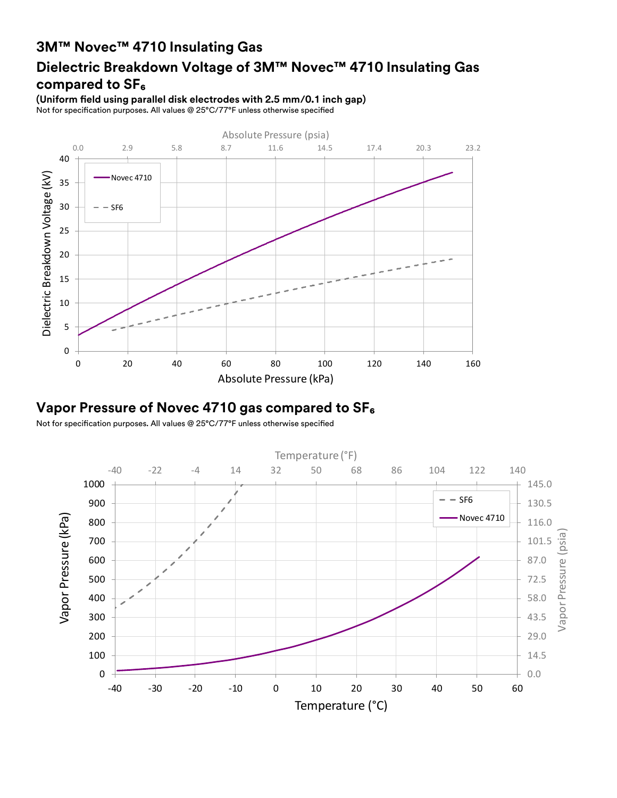# **Dielectric Breakdown Voltage of 3M™ Novec™ 4710 Insulating Gas compared to SF₆**

**(Uniform field using parallel disk electrodes with 2.5 mm/0.1 inch gap)** Not for specification purposes. All values @ 25°C/77°F unless otherwise specified



### **Vapor Pressure of Novec 4710 gas compared to SF₆**

Not for specification purposes. All values @ 25°C/77°F unless otherwise specified

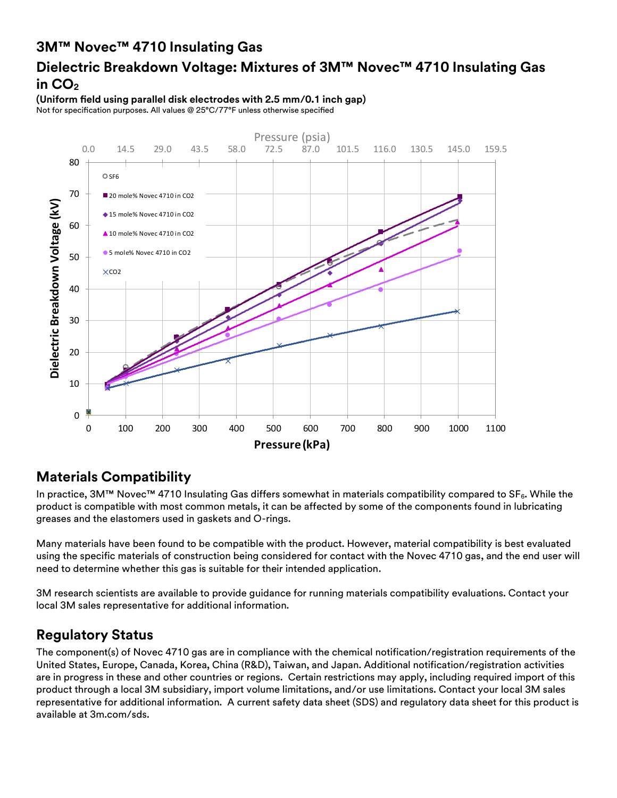## **Dielectric Breakdown Voltage: Mixtures of 3M™ Novec™ 4710 Insulating Gas in CO<sup>2</sup>**

**(Uniform field using parallel disk electrodes with 2.5 mm/0.1 inch gap)** Not for specification purposes. All values @ 25°C/77°F unless otherwise specified



#### **Materials Compatibility**

In practice, 3M™ Novec™ 4710 Insulating Gas differs somewhat in materials compatibility compared to SF6. While the product is compatible with most common metals, it can be affected by some of the components found in lubricating greases and the elastomers used in gaskets and O-rings.

Many materials have been found to be compatible with the product. However, material compatibility is best evaluated using the specific materials of construction being considered for contact with the Novec 4710 gas, and the end user will need to determine whether this gas is suitable for their intended application.

3M research scientists are available to provide guidance for running materials compatibility evaluations. Contact your local 3M sales representative for additional information.

### **Regulatory Status**

The component(s) of Novec 4710 gas are in compliance with the chemical notification/registration requirements of the United States, Europe, Canada, Korea, China (R&D), Taiwan, and Japan. Additional notification/registration activities are in progress in these and other countries or regions. Certain restrictions may apply, including required import of this product through a local 3M subsidiary, import volume limitations, and/or use limitations. Contact your local 3M sales representative for additional information. A current safety data sheet (SDS) and regulatory data sheet for this product is available at 3m.com/sds.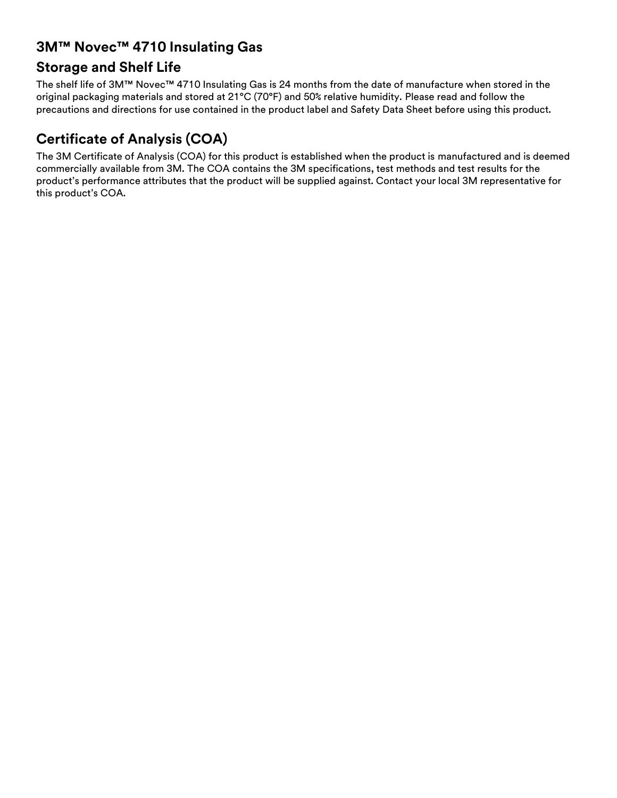#### **Storage and Shelf Life**

The shelf life of 3M™ Novec™ 4710 Insulating Gas is 24 months from the date of manufacture when stored in the original packaging materials and stored at 21°C (70°F) and 50% relative humidity. Please read and follow the precautions and directions for use contained in the product label and Safety Data Sheet before using this product.

# **Certificate of Analysis (COA)**

The 3M Certificate of Analysis (COA) for this product is established when the product is manufactured and is deemed commercially available from 3M. The COA contains the 3M specifications, test methods and test results for the product's performance attributes that the product will be supplied against. Contact your local 3M representative for this product's COA.